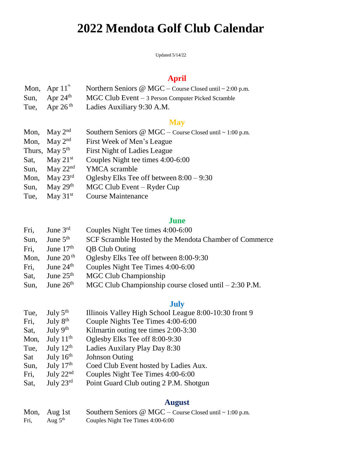# **2022 Mendota Golf Club Calendar**

Updated 5/14/22

## **April**

| Mon, Apr $11^{\text{th}}$ | Northern Seniors $@$ MGC – Course Closed until ~ 2:00 p.m. |
|---------------------------|------------------------------------------------------------|
| Sun, Apr $24th$           | $MGC Club Event - 3 Person Computer Picked Scramble$       |
| Tue, Apr $26^{th}$        | Ladies Auxiliary 9:30 A.M.                                 |

## **May**

| Mon, May $2^{nd}$          | Southern Seniors @ MGC - Course Closed until ~ 1:00 p.m. |  |
|----------------------------|----------------------------------------------------------|--|
| Mon, May $2^{nd}$          | First Week of Men's League                               |  |
| Thurs, May 5 <sup>th</sup> | <b>First Night of Ladies League</b>                      |  |
| Sat, May $21st$            | Couples Night tee times 4:00-6:00                        |  |
| Sun, May $22nd$            | <b>YMCA</b> scramble                                     |  |
| Mon, May $23^{\text{rd}}$  | Oglesby Elks Tee off between $8:00 - 9:30$               |  |
| Sun, May $29th$            | MGC Club Event – Ryder Cup                               |  |
| Tue, May $31st$            | <b>Course Maintenance</b>                                |  |

## **June**

| Fri, | June $3^{\text{rd}}$   | Couples Night Tee times 4:00-6:00                      |  |
|------|------------------------|--------------------------------------------------------|--|
| Sun, | June $5th$             | SCF Scramble Hosted by the Mendota Chamber of Commerce |  |
| Fri. | June $17th$            | <b>QB</b> Club Outing                                  |  |
| Mon, | June 20 $^{\text{th}}$ | Oglesby Elks Tee off between 8:00-9:30                 |  |
| Fri, | June $24th$            | Couples Night Tee Times 4:00-6:00                      |  |
| Sat, | June $25th$            | <b>MGC Club Championship</b>                           |  |
| Sun, | June $26th$            | MGC Club Championship course closed until - 2:30 P.M.  |  |

## **July**

| Tue, | July $5^{\text{th}}$  | Illinois Valley High School League 8:00-10:30 front 9 |  |
|------|-----------------------|-------------------------------------------------------|--|
| Fri, | July $8th$            | Couple Nights Tee Times 4:00-6:00                     |  |
| Sat, | July $9th$            | Kilmartin outing tee times 2:00-3:30                  |  |
| Mon, | July $11^{\text{th}}$ | Oglesby Elks Tee off 8:00-9:30                        |  |
| Tue, | July $12^{\text{th}}$ | Ladies Auxilary Play Day 8:30                         |  |
| Sat  | July $16^{\text{th}}$ | <b>Johnson Outing</b>                                 |  |
| Sun, | July $17th$           | Coed Club Event hosted by Ladies Aux.                 |  |
| Fri, | July $22nd$           | Couples Night Tee Times 4:00-6:00                     |  |

Sat, July 23<sup>rd</sup> Point Guard Club outing 2 P.M. Shotgun

## **August**

|      | Mon, Aug 1st | Southern Seniors $\omega$ MGC – Course Closed until ~ 1:00 p.m. |
|------|--------------|-----------------------------------------------------------------|
| Fri, | Aug $5th$    | Couples Night Tee Times 4:00-6:00                               |